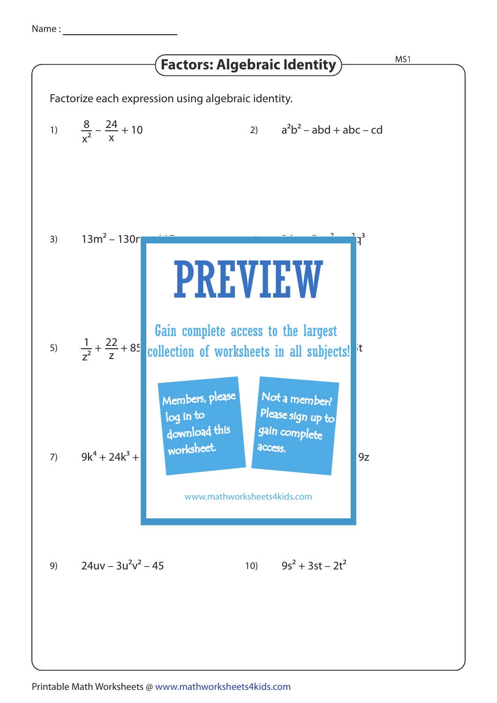